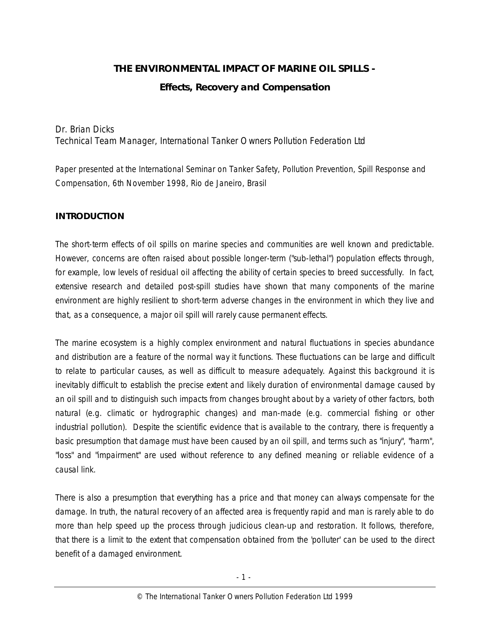# **THE ENVIRONMENTAL IMPACT OF MARINE OIL SPILLS - Effects, Recovery and Compensation**

# Dr. Brian Dicks Technical Team Manager, International Tanker Owners Pollution Federation Ltd

*Paper presented at the International Seminar on Tanker Safety, Pollution Prevention, Spill Response and Compensation, 6th November 1998, Rio de Janeiro, Brasil*

# **INTRODUCTION**

The short-term effects of oil spills on marine species and communities are well known and predictable. However, concerns are often raised about possible longer-term ("sub-lethal") population effects through, for example, low levels of residual oil affecting the ability of certain species to breed successfully. In fact, extensive research and detailed post-spill studies have shown that many components of the marine environment are highly resilient to short-term adverse changes in the environment in which they live and that, as a consequence, a major oil spill will rarely cause permanent effects.

The marine ecosystem is a highly complex environment and natural fluctuations in species abundance and distribution are a feature of the normal way it functions. These fluctuations can be large and difficult to relate to particular causes, as well as difficult to measure adequately. Against this background it is inevitably difficult to establish the precise extent and likely duration of environmental damage caused by an oil spill and to distinguish such impacts from changes brought about by a variety of other factors, both natural (e.g. climatic or hydrographic changes) and man-made (e.g. commercial fishing or other industrial pollution). Despite the scientific evidence that is available to the contrary, there is frequently a basic presumption that damage must have been caused by an oil spill, and terms such as "injury", "harm", "loss" and "impairment" are used without reference to any defined meaning or reliable evidence of a causal link.

There is also a presumption that everything has a price and that money can always compensate for the damage. In truth, the natural recovery of an affected area is frequently rapid and man is rarely able to do more than help speed up the process through judicious clean-up and restoration. It follows, therefore, that there is a limit to the extent that compensation obtained from the 'polluter' can be used to the direct benefit of a damaged environment.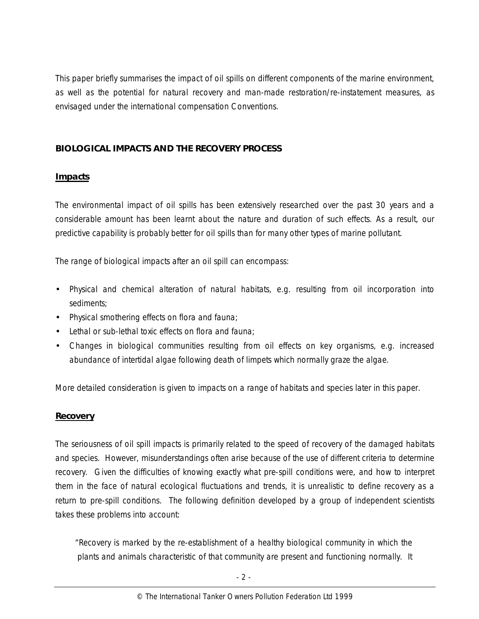This paper briefly summarises the impact of oil spills on different components of the marine environment, as well as the potential for natural recovery and man-made restoration/re-instatement measures, as envisaged under the international compensation Conventions.

## **BIOLOGICAL IMPACTS AND THE RECOVERY PROCESS**

## **Impacts**

The environmental impact of oil spills has been extensively researched over the past 30 years and a considerable amount has been learnt about the nature and duration of such effects. As a result, our predictive capability is probably better for oil spills than for many other types of marine pollutant.

The range of biological impacts after an oil spill can encompass:

- Physical and chemical alteration of natural habitats, e.g. resulting from oil incorporation into sediments;
- Physical smothering effects on flora and fauna;
- Lethal or sub-lethal toxic effects on flora and fauna;
- Changes in biological communities resulting from oil effects on key organisms, e.g. increased abundance of intertidal algae following death of limpets which normally graze the algae.

More detailed consideration is given to impacts on a range of habitats and species later in this paper.

# **Recovery**

The seriousness of oil spill impacts is primarily related to the speed of recovery of the damaged habitats and species. However, misunderstandings often arise because of the use of different criteria to determine recovery. Given the difficulties of knowing exactly what pre-spill conditions were, and how to interpret them in the face of natural ecological fluctuations and trends, it is unrealistic to define recovery as a return to pre-spill conditions. The following definition developed by a group of independent scientists takes these problems into account:

 "Recovery is marked by the re-establishment of a healthy biological community in which the plants and animals characteristic of that community are present and functioning normally. It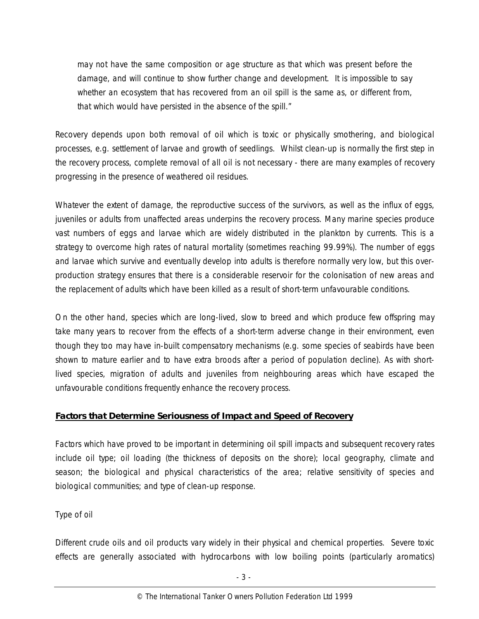may not have the same composition or age structure as that which was present before the damage, and will continue to show further change and development. It is impossible to say whether an ecosystem that has recovered from an oil spill is the same as, or different from, that which would have persisted in the absence of the spill."

Recovery depends upon both removal of oil which is toxic or physically smothering, and biological processes, e.g. settlement of larvae and growth of seedlings. Whilst clean-up is normally the first step in the recovery process, complete removal of all oil is not necessary - there are many examples of recovery progressing in the presence of weathered oil residues.

Whatever the extent of damage, the reproductive success of the survivors, as well as the influx of eggs, juveniles or adults from unaffected areas underpins the recovery process. Many marine species produce vast numbers of eggs and larvae which are widely distributed in the plankton by currents. This is a strategy to overcome high rates of natural mortality (sometimes reaching 99.99%). The number of eggs and larvae which survive and eventually develop into adults is therefore normally very low, but this overproduction strategy ensures that there is a considerable reservoir for the colonisation of new areas and the replacement of adults which have been killed as a result of short-term unfavourable conditions.

On the other hand, species which are long-lived, slow to breed and which produce few offspring may take many years to recover from the effects of a short-term adverse change in their environment, even though they too may have in-built compensatory mechanisms (e.g. some species of seabirds have been shown to mature earlier and to have extra broods after a period of population decline). As with shortlived species, migration of adults and juveniles from neighbouring areas which have escaped the unfavourable conditions frequently enhance the recovery process.

#### **Factors that Determine Seriousness of Impact and Speed of Recovery**

Factors which have proved to be important in determining oil spill impacts and subsequent recovery rates include oil type; oil loading (the thickness of deposits on the shore); local geography, climate and season; the biological and physical characteristics of the area; relative sensitivity of species and biological communities; and type of clean-up response.

*Type of oil*

Different crude oils and oil products vary widely in their physical and chemical properties. Severe toxic effects are generally associated with hydrocarbons with low boiling points (particularly aromatics)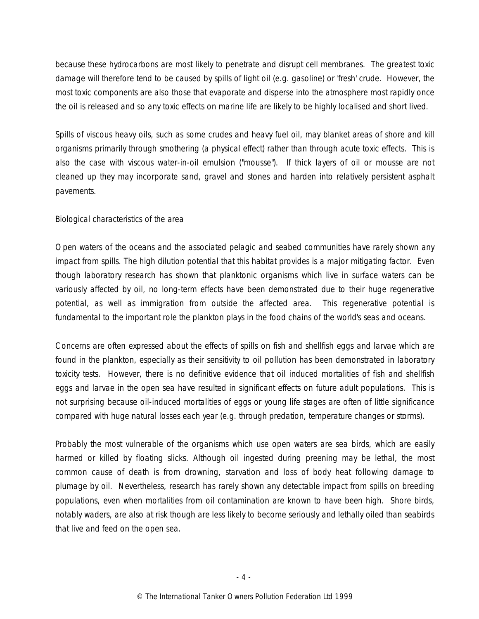because these hydrocarbons are most likely to penetrate and disrupt cell membranes. The greatest toxic damage will therefore tend to be caused by spills of light oil (e.g. gasoline) or 'fresh' crude. However, the most toxic components are also those that evaporate and disperse into the atmosphere most rapidly once the oil is released and so any toxic effects on marine life are likely to be highly localised and short lived.

Spills of viscous heavy oils, such as some crudes and heavy fuel oil, may blanket areas of shore and kill organisms primarily through smothering (a physical effect) rather than through acute toxic effects. This is also the case with viscous water-in-oil emulsion ("mousse"). If thick layers of oil or mousse are not cleaned up they may incorporate sand, gravel and stones and harden into relatively persistent asphalt pavements.

#### *Biological characteristics of the area*

Open waters of the oceans and the associated pelagic and seabed communities have rarely shown any impact from spills. The high dilution potential that this habitat provides is a major mitigating factor. Even though laboratory research has shown that planktonic organisms which live in surface waters can be variously affected by oil, no long-term effects have been demonstrated due to their huge regenerative potential, as well as immigration from outside the affected area. This regenerative potential is fundamental to the important role the plankton plays in the food chains of the world's seas and oceans.

Concerns are often expressed about the effects of spills on fish and shellfish eggs and larvae which are found in the plankton, especially as their sensitivity to oil pollution has been demonstrated in laboratory toxicity tests. However, there is no definitive evidence that oil induced mortalities of fish and shellfish eggs and larvae in the open sea have resulted in significant effects on future adult populations. This is not surprising because oil-induced mortalities of eggs or young life stages are often of little significance compared with huge natural losses each year (e.g. through predation, temperature changes or storms).

Probably the most vulnerable of the organisms which use open waters are sea birds, which are easily harmed or killed by floating slicks. Although oil ingested during preening may be lethal, the most common cause of death is from drowning, starvation and loss of body heat following damage to plumage by oil. Nevertheless, research has rarely shown any detectable impact from spills on breeding populations, even when mortalities from oil contamination are known to have been high. Shore birds, notably waders, are also at risk though are less likely to become seriously and lethally oiled than seabirds that live and feed on the open sea.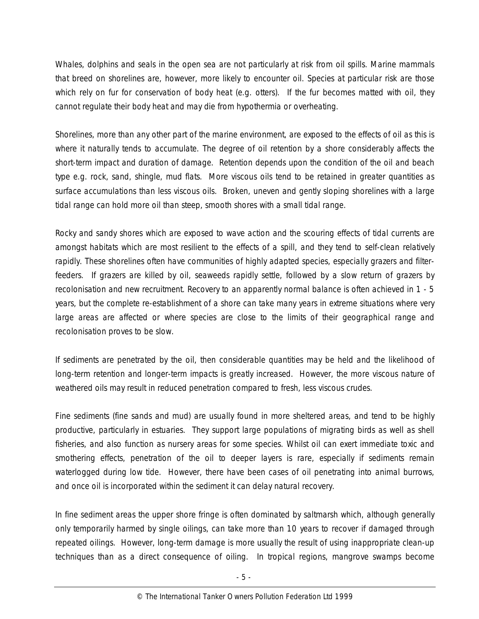Whales, dolphins and seals in the open sea are not particularly at risk from oil spills. Marine mammals that breed on shorelines are, however, more likely to encounter oil. Species at particular risk are those which rely on fur for conservation of body heat (e.g. otters). If the fur becomes matted with oil, they cannot regulate their body heat and may die from hypothermia or overheating.

Shorelines, more than any other part of the marine environment, are exposed to the effects of oil as this is where it naturally tends to accumulate. The degree of oil retention by a shore considerably affects the short-term impact and duration of damage. Retention depends upon the condition of the oil and beach type e.g. rock, sand, shingle, mud flats. More viscous oils tend to be retained in greater quantities as surface accumulations than less viscous oils. Broken, uneven and gently sloping shorelines with a large tidal range can hold more oil than steep, smooth shores with a small tidal range.

Rocky and sandy shores which are exposed to wave action and the scouring effects of tidal currents are amongst habitats which are most resilient to the effects of a spill, and they tend to self-clean relatively rapidly. These shorelines often have communities of highly adapted species, especially grazers and filterfeeders. If grazers are killed by oil, seaweeds rapidly settle, followed by a slow return of grazers by recolonisation and new recruitment. Recovery to an apparently normal balance is often achieved in 1 - 5 years, but the complete re-establishment of a shore can take many years in extreme situations where very large areas are affected or where species are close to the limits of their geographical range and recolonisation proves to be slow.

If sediments are penetrated by the oil, then considerable quantities may be held and the likelihood of long-term retention and longer-term impacts is greatly increased. However, the more viscous nature of weathered oils may result in reduced penetration compared to fresh, less viscous crudes.

Fine sediments (fine sands and mud) are usually found in more sheltered areas, and tend to be highly productive, particularly in estuaries. They support large populations of migrating birds as well as shell fisheries, and also function as nursery areas for some species. Whilst oil can exert immediate toxic and smothering effects, penetration of the oil to deeper layers is rare, especially if sediments remain waterlogged during low tide. However, there have been cases of oil penetrating into animal burrows, and once oil is incorporated within the sediment it can delay natural recovery.

In fine sediment areas the upper shore fringe is often dominated by saltmarsh which, although generally only temporarily harmed by single oilings, can take more than 10 years to recover if damaged through repeated oilings. However, long-term damage is more usually the result of using inappropriate clean-up techniques than as a direct consequence of oiling. In tropical regions, mangrove swamps become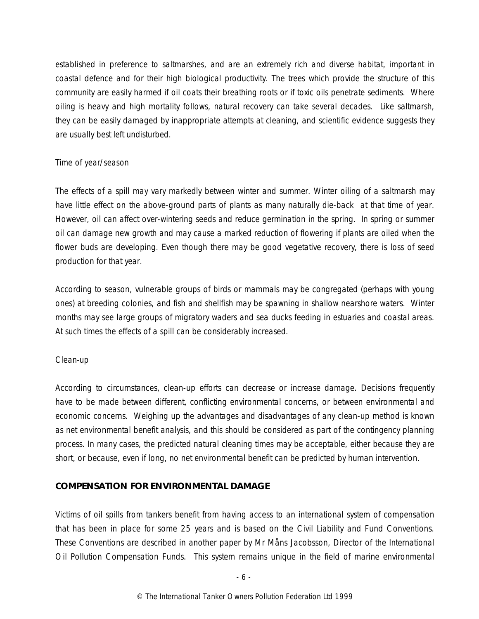established in preference to saltmarshes, and are an extremely rich and diverse habitat, important in coastal defence and for their high biological productivity. The trees which provide the structure of this community are easily harmed if oil coats their breathing roots or if toxic oils penetrate sediments. Where oiling is heavy and high mortality follows, natural recovery can take several decades. Like saltmarsh, they can be easily damaged by inappropriate attempts at cleaning, and scientific evidence suggests they are usually best left undisturbed.

## *Time of year/season*

The effects of a spill may vary markedly between winter and summer. Winter oiling of a saltmarsh may have little effect on the above-ground parts of plants as many naturally die-back at that time of year. However, oil can affect over-wintering seeds and reduce germination in the spring. In spring or summer oil can damage new growth and may cause a marked reduction of flowering if plants are oiled when the flower buds are developing. Even though there may be good vegetative recovery, there is loss of seed production for that year.

According to season, vulnerable groups of birds or mammals may be congregated (perhaps with young ones) at breeding colonies, and fish and shellfish may be spawning in shallow nearshore waters. Winter months may see large groups of migratory waders and sea ducks feeding in estuaries and coastal areas. At such times the effects of a spill can be considerably increased.

#### *Clean-up*

According to circumstances, clean-up efforts can decrease or increase damage. Decisions frequently have to be made between different, conflicting environmental concerns, or between environmental and economic concerns. Weighing up the advantages and disadvantages of any clean-up method is known as net environmental benefit analysis, and this should be considered as part of the contingency planning process. In many cases, the predicted natural cleaning times may be acceptable, either because they are short, or because, even if long, no net environmental benefit can be predicted by human intervention.

## **COMPENSATION FOR ENVIRONMENTAL DAMAGE**

Victims of oil spills from tankers benefit from having access to an international system of compensation that has been in place for some 25 years and is based on the Civil Liability and Fund Conventions. These Conventions are described in another paper by Mr Måns Jacobsson, Director of the International Oil Pollution Compensation Funds. This system remains unique in the field of marine environmental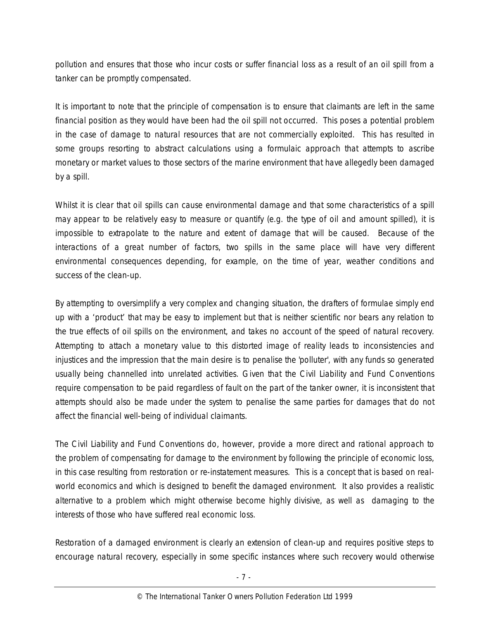pollution and ensures that those who incur costs or suffer financial loss as a result of an oil spill from a tanker can be promptly compensated.

It is important to note that the principle of compensation is to ensure that claimants are left in the same financial position as they would have been had the oil spill not occurred. This poses a potential problem in the case of damage to natural resources that are not commercially exploited. This has resulted in some groups resorting to abstract calculations using a formulaic approach that attempts to ascribe monetary or market values to those sectors of the marine environment that have allegedly been damaged by a spill.

Whilst it is clear that oil spills can cause environmental damage and that some characteristics of a spill may appear to be relatively easy to measure or quantify (e.g. the type of oil and amount spilled), it is impossible to extrapolate to the nature and extent of damage that will be caused. Because of the interactions of a great number of factors, two spills in the same place will have very different environmental consequences depending, for example, on the time of year, weather conditions and success of the clean-up.

By attempting to oversimplify a very complex and changing situation, the drafters of formulae simply end up with a 'product' that may be easy to implement but that is neither scientific nor bears any relation to the true effects of oil spills on the environment, and takes no account of the speed of natural recovery. Attempting to attach a monetary value to this distorted image of reality leads to inconsistencies and injustices and the impression that the main desire is to penalise the 'polluter', with any funds so generated usually being channelled into unrelated activities. Given that the Civil Liability and Fund Conventions require compensation to be paid regardless of fault on the part of the tanker owner, it is inconsistent that attempts should also be made under the system to penalise the same parties for damages that do not affect the financial well-being of individual claimants.

The Civil Liability and Fund Conventions do, however, provide a more direct and rational approach to the problem of compensating for damage to the environment by following the principle of economic loss, in this case resulting from restoration or re-instatement measures. This is a concept that is based on realworld economics and which is designed to benefit the damaged environment. It also provides a realistic alternative to a problem which might otherwise become highly divisive, as well as damaging to the interests of those who have suffered real economic loss.

Restoration of a damaged environment is clearly an extension of clean-up and requires positive steps to encourage natural recovery, especially in some specific instances where such recovery would otherwise